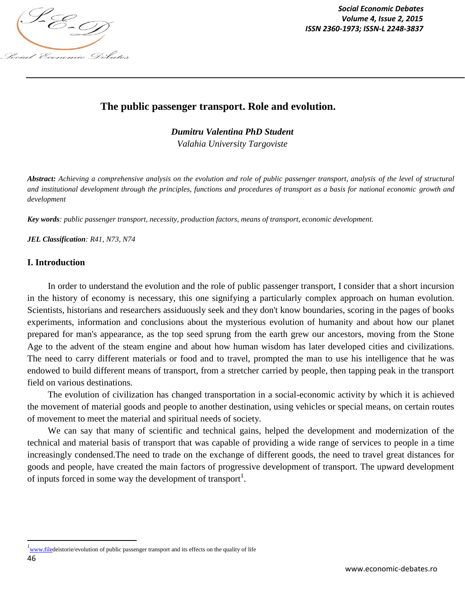

*Social Economic Debates ISSN 2360-1973; ISSN-L 2248-3837*

# **The public passenger transport. Role and evolution.**

*Dumitru Valentina PhD Student*

*Valahia University Targoviste*

*Abstract: Achieving a comprehensive analysis on the evolution and role of public passenger transport, analysis of the level of structural and institutional development through the principles, functions and procedures of transport as a basis for national economic growth and development*

*Key words: public passenger transport, necessity, production factors, means of transport, economic development.*

*JEL Classification: R41, N73, N74*

### **I. Introduction**

In order to understand the evolution and the role of public passenger transport, I consider that a short incursion in the history of economy is necessary, this one signifying a particularly complex approach on human evolution. Scientists, historians and researchers assiduously seek and they don't know boundaries, scoring in the pages of books experiments, information and conclusions about the mysterious evolution of humanity and about how our planet prepared for man's appearance, as the top seed sprung from the earth grew our ancestors, moving from the Stone Age to the advent of the steam engine and about how human wisdom has later developed cities and civilizations. The need to carry different materials or food and to travel, prompted the man to use his intelligence that he was endowed to build different means of transport, from a stretcher carried by people, then tapping peak in the transport field on various destinations.

The evolution of civilization has changed transportation in a social-economic activity by which it is achieved the movement of material goods and people to another destination, using vehicles or special means, on certain routes of movement to meet the material and spiritual needs of society.

We can say that many of scientific and technical gains, helped the development and modernization of the technical and material basis of transport that was capable of providing a wide range of services to people in a time increasingly condensed.The need to trade on the exchange of different goods, the need to travel great distances for goods and people, have created the main factors of progressive development of transport. The upward development of inputs forced in some way the development of transport<sup>1</sup>.

 $\overline{\phantom{a}}$ 

<sup>&</sup>lt;sup>1</sup>www.filedeistorie/evolution of public passenger transport and its effects on the quality of life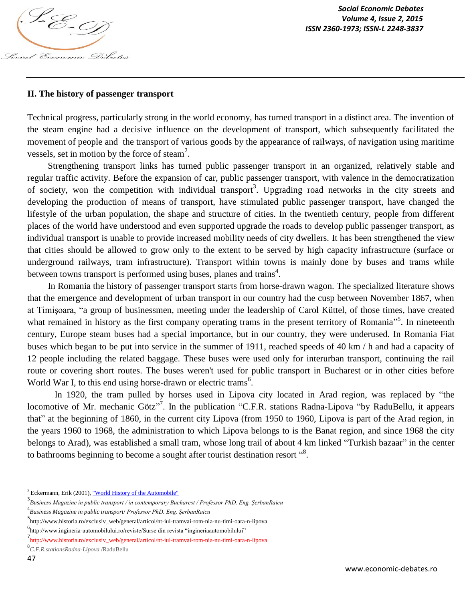

### **II. The history of passenger transport**

Technical progress, particularly strong in the world economy, has turned transport in a distinct area. The invention of the steam engine had a decisive influence on the development of transport, which subsequently facilitated the movement of people and the transport of various goods by the appearance of railways, of navigation using maritime vessels, set in motion by the force of steam<sup>2</sup>.

Strengthening transport links has turned public passenger transport in an organized, relatively stable and regular traffic activity. Before the expansion of car, public passenger transport, with valence in the democratization of society, won the competition with individual transport<sup>3</sup>. Upgrading road networks in the city streets and developing the production of means of transport, have stimulated public passenger transport, have changed the lifestyle of the urban population, the shape and structure of cities. In the twentieth century, people from different places of the world have understood and even supported upgrade the roads to develop public passenger transport, as individual transport is unable to provide increased mobility needs of city dwellers. It has been strengthened the view that cities should be allowed to grow only to the extent to be served by high capacity infrastructure (surface or underground railways, tram infrastructure). Transport within towns is mainly done by buses and trams while between towns transport is performed using buses, planes and trains<sup>4</sup>.

In Romania the history of passenger transport starts from horse-drawn wagon. The specialized literature shows that the emergence and development of urban transport in our country had the cusp between November 1867, when at Timişoara, "a group of businessmen, meeting under the leadership of Carol Küttel, of those times, have created what remained in history as the first company operating trams in the present territory of Romania<sup>35</sup>. In nineteenth century, Europe steam buses had a special importance, but in our country, they were underused. In Romania Fiat buses which began to be put into service in the summer of 1911, reached speeds of 40 km / h and had a capacity of 12 people including the related baggage. These buses were used only for interurban transport, continuing the rail route or covering short routes. The buses weren't used for public transport in Bucharest or in other cities before World War I, to this end using horse-drawn or electric trams<sup>6</sup>.

In 1920, the tram pulled by horses used in Lipova city located in Arad region, was replaced by "the locomotive of Mr. mechanic Götz"<sup>7</sup>. In the publication "C.F.R. stations Radna-Lipova "by RaduBellu, it appears that" at the beginning of 1860, in the current city Lipova (from 1950 to 1960, Lipova is part of the Arad region, in the years 1960 to 1968, the administration to which Lipova belongs to is the Banat region, and since 1968 the city belongs to Arad), was established a small tram, whose long trail of about 4 km linked "Turkish bazaar" in the center to bathrooms beginning to become a sought after tourist destination resort  $\cdot$ <sup>3</sup>.

l

 $2$  Eckermann, Erik (2001), "World History of the Automobile"

<sup>3</sup> *Business Magazine in public transport / in contemporary Bucharest / Professor PhD. Eng. ŞerbanRaicu*

<sup>4</sup> *Business Magazine in public transport*/ *Professor PhD. Eng. ŞerbanRaicu*

<sup>5</sup> http://www.historia.ro/exclusiv\_web/general/articol/nt-iul-tramvai-rom-nia-nu-timi-oara-n-lipova

<sup>6</sup> http://www.ingineria-automobilului.ro/reviste/Surse din revista "ingineriaautomobilului"

<sup>7</sup> http://www.historia.ro/exclusiv\_web/general/articol/nt-iul-tramvai-rom-nia-nu-timi-oara-n-lipova

<sup>8</sup> *C.F.R.stationsRadna-Lipova* /RaduBellu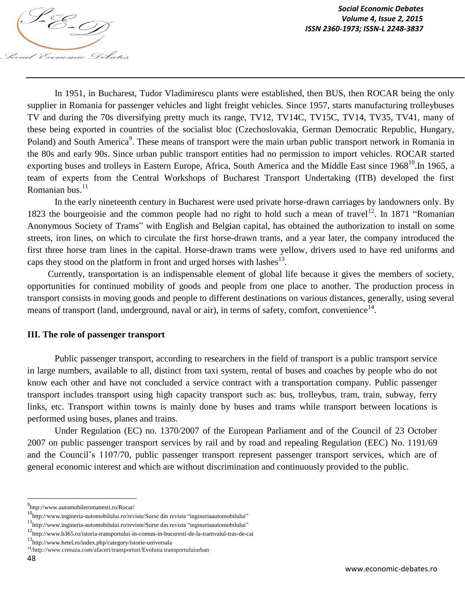

In 1951, in Bucharest, Tudor Vladimirescu plants were established, then BUS, then ROCAR being the only supplier in Romania for passenger vehicles and light freight vehicles. Since 1957, starts manufacturing trolleybuses TV and during the 70s diversifying pretty much its range, TV12, TV14C, TV15C, TV14, TV35, TV41, many of these being exported in countries of the socialist bloc (Czechoslovakia, German Democratic Republic, Hungary, Poland) and South America<sup>9</sup>. These means of transport were the main urban public transport network in Romania in the 80s and early 90s. Since urban public transport entities had no permission to import vehicles. ROCAR started exporting buses and trolleys in Eastern Europe, Africa, South America and the Middle East since 1968<sup>10</sup>. In 1965, a team of experts from the Central Workshops of Bucharest Transport Undertaking (ITB) developed the first Romanian bus.<sup>11</sup>

In the early nineteenth century in Bucharest were used private horse-drawn carriages by landowners only. By 1823 the bourgeoisie and the common people had no right to hold such a mean of travel<sup>12</sup>. In 1871 "Romanian Anonymous Society of Trams" with English and Belgian capital, has obtained the authorization to install on some streets, iron lines, on which to circulate the first horse-drawn trams, and a year later, the company introduced the first three horse tram lines in the capital. Horse-drawn trams were yellow, drivers used to have red uniforms and caps they stood on the platform in front and urged horses with lashes $^{13}$ .

Currently, transportation is an indispensable element of global life because it gives the members of society, opportunities for continued mobility of goods and people from one place to another. The production process in transport consists in moving goods and people to different destinations on various distances, generally, using several means of transport (land, underground, naval or air), in terms of safety, comfort, convenience  $14$ .

#### **III. The role of passenger transport**

Public passenger transport, according to researchers in the field of transport is a public transport service in large numbers, available to all, distinct from taxi system, rental of buses and coaches by people who do not know each other and have not concluded a service contract with a transportation company. Public passenger transport includes transport using high capacity transport such as: bus, trolleybus, tram, train, subway, ferry links, etc. Transport within towns is mainly done by buses and trams while transport between locations is performed using buses, planes and trains.

Under Regulation (EC) no. 1370/2007 of the European Parliament and of the Council of 23 October 2007 on public passenger transport services by rail and by road and repealing Regulation (EEC) No. 1191/69 and the Council's 1107/70, public passenger transport represent passenger transport services, which are of general economic interest and which are without discrimination and continuously provided to the public.

 $\overline{a}$ 

<sup>9&</sup>lt;br>http://www.automobileromanesti.ro/Rocar/

<sup>&</sup>lt;sup>10</sup>http://www.ingineria-automobilului.ro/reviste/Surse din revista "ingineriaautomobilului"

<sup>11</sup>http://www.ingineria-automobilului.ro/reviste/Surse din revista "ingineriaautomobilului"

<sup>12</sup>http://www.b365.ro/istoria-transportului-in-comun-in-bucuresti-de-la-tramvaiul-tras-de-cai

<sup>13</sup>http://www.hetel.ro/index.php/category/istorie-universala

<sup>14</sup>/http://www.creeaza.com/afaceri/transporturi/Evolutia transportuluiurban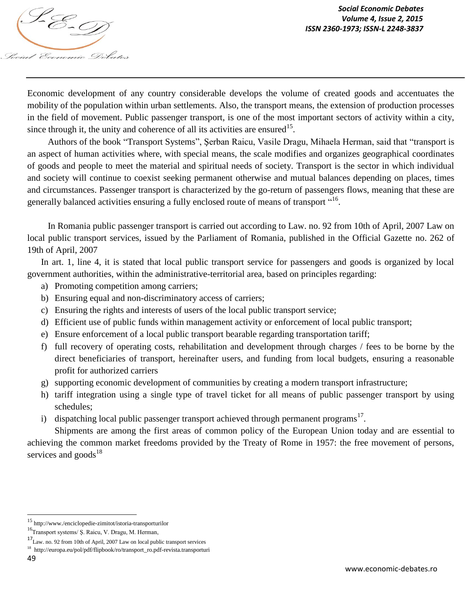

Economic development of any country considerable develops the volume of created goods and accentuates the mobility of the population within urban settlements. Also, the transport means, the extension of production processes in the field of movement. Public passenger transport, is one of the most important sectors of activity within a city, since through it, the unity and coherence of all its activities are ensured<sup>15</sup>.

Authors of the book "Transport Systems", Şerban Raicu, Vasile Dragu, Mihaela Herman, said that "transport is an aspect of human activities where, with special means, the scale modifies and organizes geographical coordinates of goods and people to meet the material and spiritual needs of society. Transport is the sector in which individual and society will continue to coexist seeking permanent otherwise and mutual balances depending on places, times and circumstances. Passenger transport is characterized by the go-return of passengers flows, meaning that these are generally balanced activities ensuring a fully enclosed route of means of transport "16.

In Romania public passenger transport is carried out according to Law. no. 92 from 10th of April, 2007 Law on local public transport services, issued by the Parliament of Romania, published in the Official Gazette no. 262 of 19th of April, 2007

In art. 1, line 4, it is stated that local public transport service for passengers and goods is organized by local government authorities, within the administrative-territorial area, based on principles regarding:

- a) Promoting competition among carriers;
- b) Ensuring equal and non-discriminatory access of carriers;
- c) Ensuring the rights and interests of users of the local public transport service;
- d) Efficient use of public funds within management activity or enforcement of local public transport;
- e) Ensure enforcement of a local public transport bearable regarding transportation tariff;
- f) full recovery of operating costs, rehabilitation and development through charges / fees to be borne by the direct beneficiaries of transport, hereinafter users, and funding from local budgets, ensuring a reasonable profit for authorized carriers
- g) supporting economic development of communities by creating a modern transport infrastructure;
- h) tariff integration using a single type of travel ticket for all means of public passenger transport by using schedules;
- i) dispatching local public passenger transport achieved through permanent programs<sup>17</sup>.

Shipments are among the first areas of common policy of the European Union today and are essential to achieving the common market freedoms provided by the Treaty of Rome in 1957: the free movement of persons, services and  $\text{goods}^{18}$ 

 $\overline{a}$ 

<sup>15</sup> http://www./enciclopedie-zimitot/istoria-transporturilor

<sup>&</sup>lt;sup>16</sup>Transport systems/ Ş. Raicu, V. Dragu, M. Herman,

 $^{17}$  Law. no. 92 from 10th of April, 2007 Law on local public transport services

<sup>&</sup>lt;sup>18</sup> http://europa.eu/pol/pdf/flipbook/ro/transport\_ro.pdf-revista.transporturi